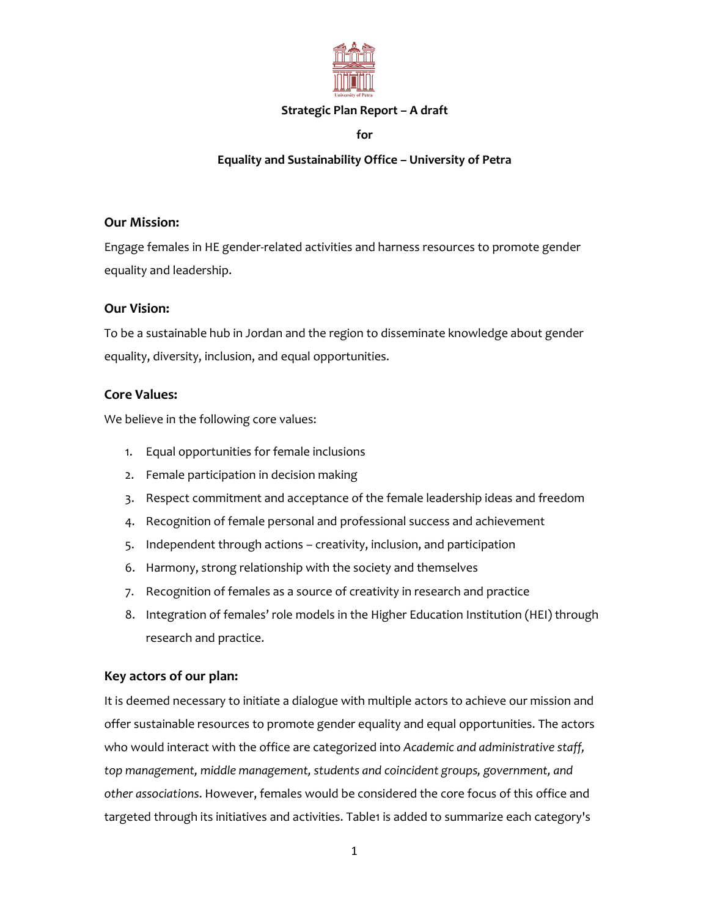

#### **Strategic Plan Report – A draft**

**for**

### **Equality and Sustainability Office – University of Petra**

#### **Our Mission:**

Engage females in HE gender-related activities and harness resources to promote gender equality and leadership.

#### **Our Vision:**

To be a sustainable hub in Jordan and the region to disseminate knowledge about gender equality, diversity, inclusion, and equal opportunities.

#### **Core Values:**

We believe in the following core values:

- 1. Equal opportunities for female inclusions
- 2. Female participation in decision making
- 3. Respect commitment and acceptance of the female leadership ideas and freedom
- 4. Recognition of female personal and professional success and achievement
- 5. Independent through actions creativity, inclusion, and participation
- 6. Harmony, strong relationship with the society and themselves
- 7. Recognition of females as a source of creativity in research and practice
- 8. Integration of females' role models in the Higher Education Institution (HEI) through research and practice.

#### **Key actors of our plan:**

It is deemed necessary to initiate a dialogue with multiple actors to achieve our mission and offer sustainable resources to promote gender equality and equal opportunities. The actors who would interact with the office are categorized into *Academic and administrative staff, top management, middle management, students and coincident groups, government, and other associations*. However, females would be considered the core focus of this office and targeted through its initiatives and activities. Table1 is added to summarize each category's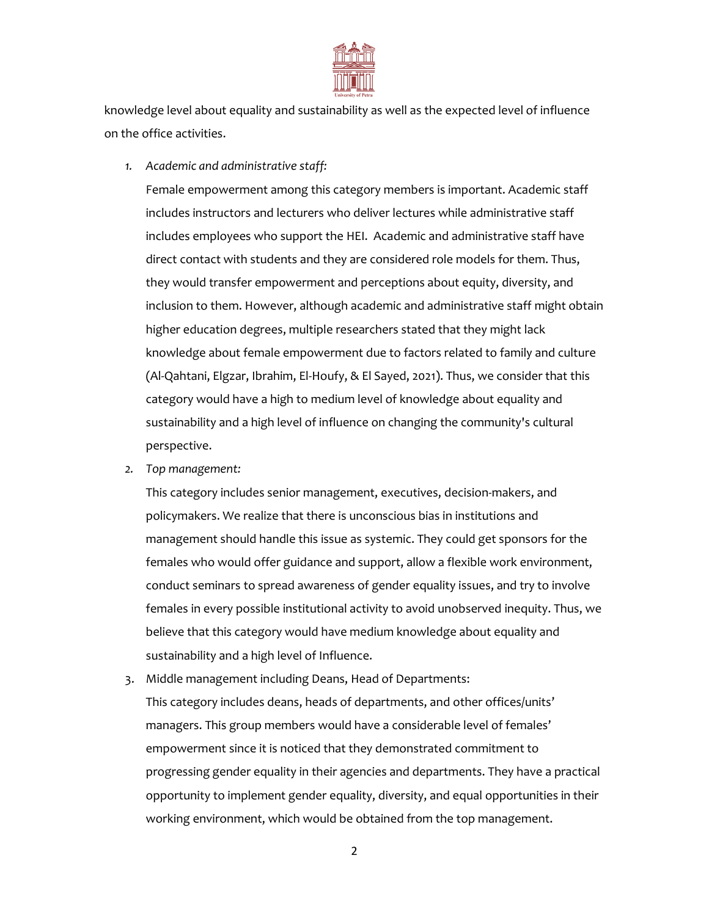

knowledge level about equality and sustainability as well as the expected level of influence on the office activities.

*1. Academic and administrative staff:* 

Female empowerment among this category members is important. Academic staff includes instructors and lecturers who deliver lectures while administrative staff includes employees who support the HEI. Academic and administrative staff have direct contact with students and they are considered role models for them. Thus, they would transfer empowerment and perceptions about equity, diversity, and inclusion to them. However, although academic and administrative staff might obtain higher education degrees, multiple researchers stated that they might lack knowledge about female empowerment due to factors related to family and culture (Al-Qahtani, Elgzar, Ibrahim, El-Houfy, & El Sayed, 2021). Thus, we consider that this category would have a high to medium level of knowledge about equality and sustainability and a high level of influence on changing the community's cultural perspective.

*2. Top management:*

This category includes senior management, executives, decision-makers, and policymakers. We realize that there is unconscious bias in institutions and management should handle this issue as systemic. They could get sponsors for the females who would offer guidance and support, allow a flexible work environment, conduct seminars to spread awareness of gender equality issues, and try to involve females in every possible institutional activity to avoid unobserved inequity. Thus, we believe that this category would have medium knowledge about equality and sustainability and a high level of Influence.

3. Middle management including Deans, Head of Departments: This category includes deans, heads of departments, and other offices/units' managers. This group members would have a considerable level of females' empowerment since it is noticed that they demonstrated commitment to progressing gender equality in their agencies and departments. They have a practical opportunity to implement gender equality, diversity, and equal opportunities in their working environment, which would be obtained from the top management.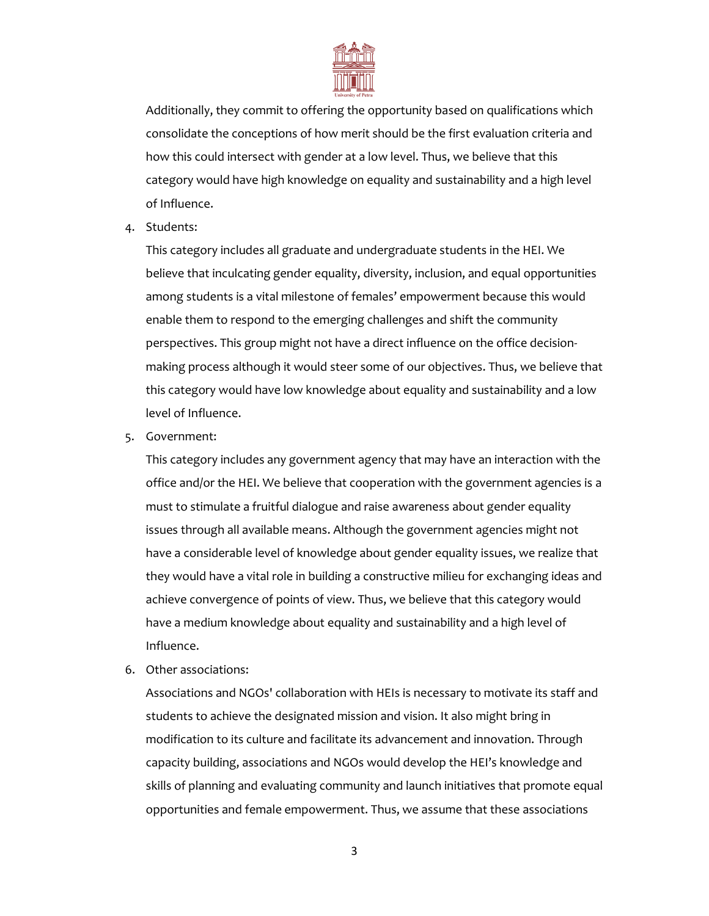

Additionally, they commit to offering the opportunity based on qualifications which consolidate the conceptions of how merit should be the first evaluation criteria and how this could intersect with gender at a low level. Thus, we believe that this category would have high knowledge on equality and sustainability and a high level of Influence.

4. Students:

This category includes all graduate and undergraduate students in the HEI. We believe that inculcating gender equality, diversity, inclusion, and equal opportunities among students is a vital milestone of females' empowerment because this would enable them to respond to the emerging challenges and shift the community perspectives. This group might not have a direct influence on the office decisionmaking process although it would steer some of our objectives. Thus, we believe that this category would have low knowledge about equality and sustainability and a low level of Influence.

5. Government:

This category includes any government agency that may have an interaction with the office and/or the HEI. We believe that cooperation with the government agencies is a must to stimulate a fruitful dialogue and raise awareness about gender equality issues through all available means. Although the government agencies might not have a considerable level of knowledge about gender equality issues, we realize that they would have a vital role in building a constructive milieu for exchanging ideas and achieve convergence of points of view. Thus, we believe that this category would have a medium knowledge about equality and sustainability and a high level of Influence.

6. Other associations:

Associations and NGOs' collaboration with HEIs is necessary to motivate its staff and students to achieve the designated mission and vision. It also might bring in modification to its culture and facilitate its advancement and innovation. Through capacity building, associations and NGOs would develop the HEI's knowledge and skills of planning and evaluating community and launch initiatives that promote equal opportunities and female empowerment. Thus, we assume that these associations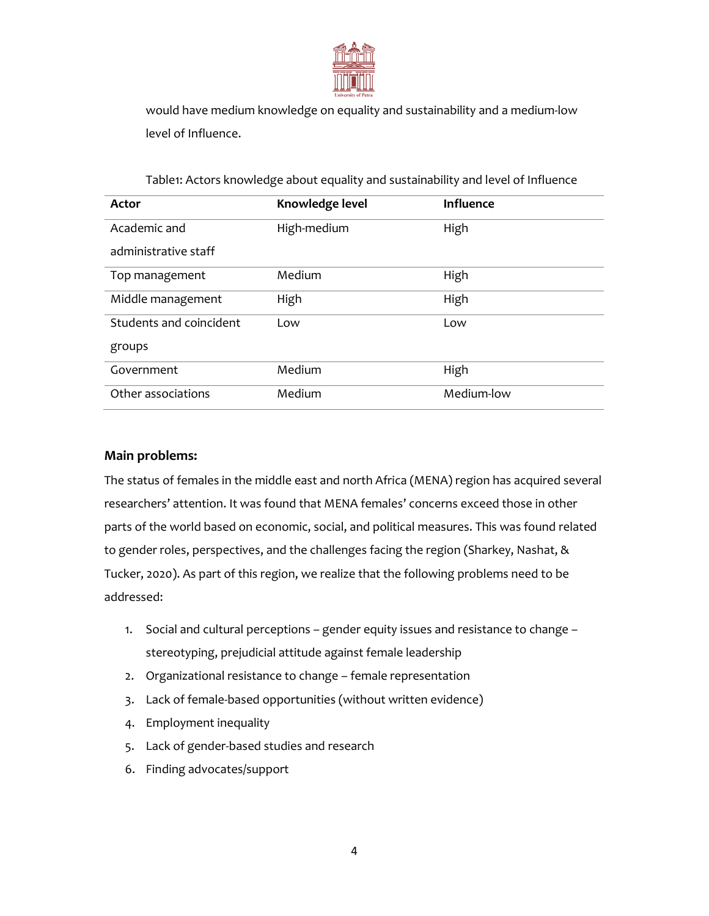

would have medium knowledge on equality and sustainability and a medium-low level of Influence.

| Actor                   | Knowledge level | <b>Influence</b> |
|-------------------------|-----------------|------------------|
| Academic and            | High-medium     | High             |
| administrative staff    |                 |                  |
| Top management          | Medium          | High             |
| Middle management       | High            | High             |
| Students and coincident | Low             | Low              |
| groups                  |                 |                  |
| Government              | Medium          | High             |
| Other associations      | Medium          | Medium-low       |

Table1: Actors knowledge about equality and sustainability and level of Influence

#### **Main problems:**

The status of females in the middle east and north Africa (MENA) region has acquired several researchers' attention. It was found that MENA females' concerns exceed those in other parts of the world based on economic, social, and political measures. This was found related to gender roles, perspectives, and the challenges facing the region (Sharkey, Nashat, & Tucker, 2020). As part of this region, we realize that the following problems need to be addressed:

- 1. Social and cultural perceptions gender equity issues and resistance to change stereotyping, prejudicial attitude against female leadership
- 2. Organizational resistance to change female representation
- 3. Lack of female-based opportunities (without written evidence)
- 4. Employment inequality
- 5. Lack of gender-based studies and research
- 6. Finding advocates/support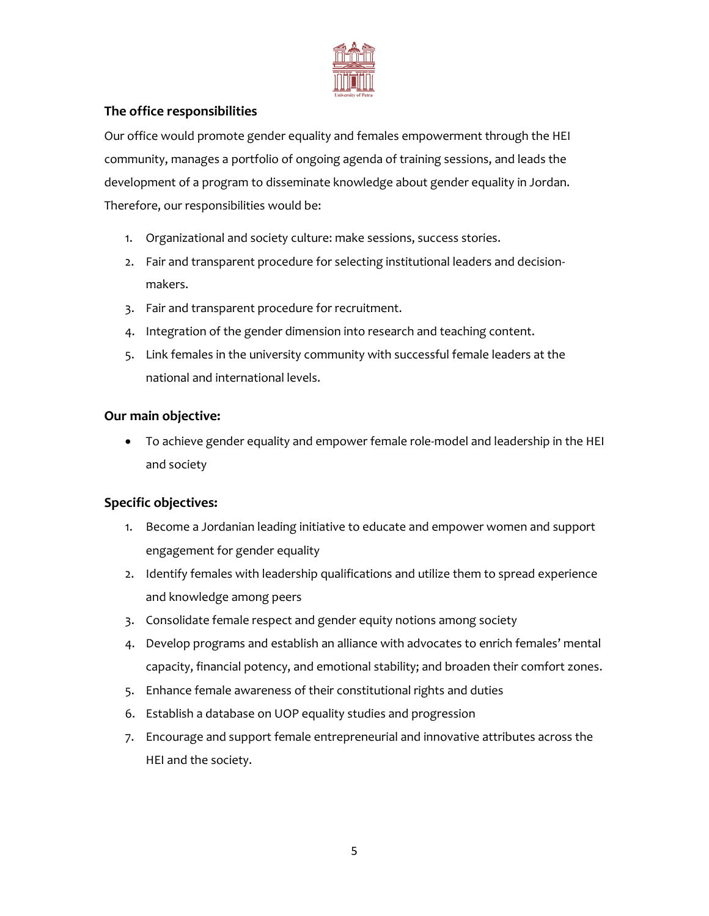

# **The office responsibilities**

Our office would promote gender equality and females empowerment through the HEI community, manages a portfolio of ongoing agenda of training sessions, and leads the development of a program to disseminate knowledge about gender equality in Jordan. Therefore, our responsibilities would be:

- 1. Organizational and society culture: make sessions, success stories.
- 2. Fair and transparent procedure for selecting institutional leaders and decisionmakers.
- 3. Fair and transparent procedure for recruitment.
- 4. Integration of the gender dimension into research and teaching content.
- 5. Link females in the university community with successful female leaders at the national and international levels.

### **Our main objective:**

 To achieve gender equality and empower female role-model and leadership in the HEI and society

# **Specific objectives:**

- 1. Become a Jordanian leading initiative to educate and empower women and support engagement for gender equality
- 2. Identify females with leadership qualifications and utilize them to spread experience and knowledge among peers
- 3. Consolidate female respect and gender equity notions among society
- 4. Develop programs and establish an alliance with advocates to enrich females' mental capacity, financial potency, and emotional stability; and broaden their comfort zones.
- 5. Enhance female awareness of their constitutional rights and duties
- 6. Establish a database on UOP equality studies and progression
- 7. Encourage and support female entrepreneurial and innovative attributes across the HEI and the society.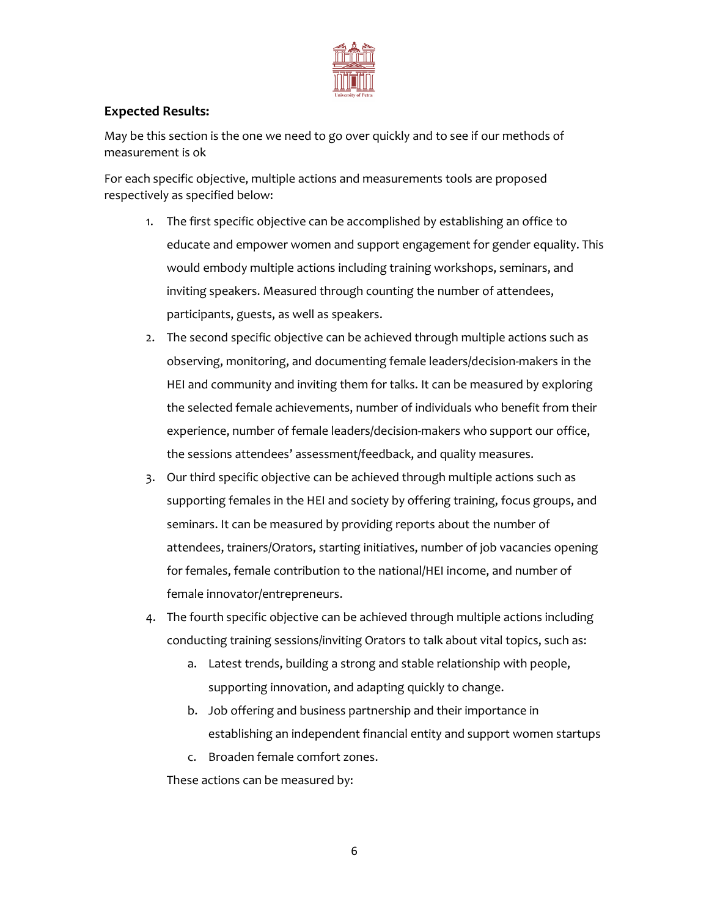

# **Expected Results:**

May be this section is the one we need to go over quickly and to see if our methods of measurement is ok

For each specific objective, multiple actions and measurements tools are proposed respectively as specified below:

- 1. The first specific objective can be accomplished by establishing an office to educate and empower women and support engagement for gender equality. This would embody multiple actions including training workshops, seminars, and inviting speakers. Measured through counting the number of attendees, participants, guests, as well as speakers.
- 2. The second specific objective can be achieved through multiple actions such as observing, monitoring, and documenting female leaders/decision-makers in the HEI and community and inviting them for talks. It can be measured by exploring the selected female achievements, number of individuals who benefit from their experience, number of female leaders/decision-makers who support our office, the sessions attendees' assessment/feedback, and quality measures.
- 3. Our third specific objective can be achieved through multiple actions such as supporting females in the HEI and society by offering training, focus groups, and seminars. It can be measured by providing reports about the number of attendees, trainers/Orators, starting initiatives, number of job vacancies opening for females, female contribution to the national/HEI income, and number of female innovator/entrepreneurs.
- 4. The fourth specific objective can be achieved through multiple actions including conducting training sessions/inviting Orators to talk about vital topics, such as:
	- a. Latest trends, building a strong and stable relationship with people, supporting innovation, and adapting quickly to change.
	- b. Job offering and business partnership and their importance in establishing an independent financial entity and support women startups
	- c. Broaden female comfort zones.

These actions can be measured by: